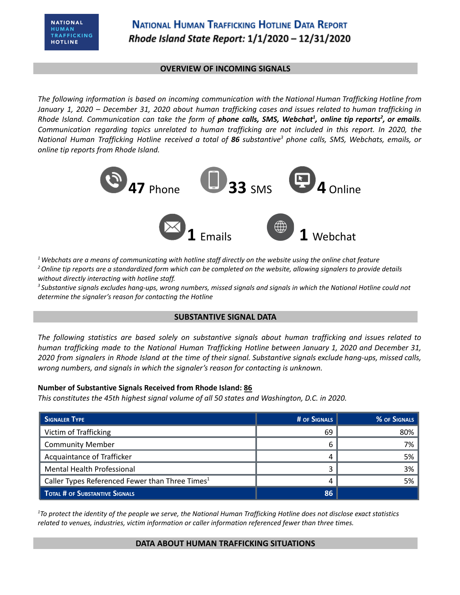### **OVERVIEW OF INCOMING SIGNALS**

*The following information is based on incoming communication with the National Human Trafficking Hotline from* January 1, 2020 - December 31, 2020 about human trafficking cases and issues related to human trafficking in Rhode Island. Communication can take the form of phone calls, SMS, Webchat<sup>1</sup>, online tip reports<sup>2</sup>, or emails. *Communication regarding topics unrelated to human trafficking are not included in this report. In 2020, the* National Human Trafficking Hotline received a total of 86 substantive<sup>3</sup> phone calls, SMS, Webchats, emails, or *online tip reports from Rhode Island.*



 $1$  Webchats are a means of communicating with hotline staff directly on the website using the online chat feature <sup>2</sup> Online tip reports are a standardized form which can be completed on the website, allowing signalers to provide details *without directly interacting with hotline staff.*

<sup>3</sup> Substantive signals excludes hang-ups, wrong numbers, missed signals and signals in which the National Hotline could not *determine the signaler's reason for contacting the Hotline*

#### **SUBSTANTIVE SIGNAL DATA**

*The following statistics are based solely on substantive signals about human trafficking and issues related to human trafficking made to the National Human Trafficking Hotline between January 1, 2020 and December 31,* 2020 from signalers in Rhode Island at the time of their signal. Substantive signals exclude hang-ups, missed calls, *wrong numbers, and signals in which the signaler's reason for contacting is unknown.*

#### **Number of Substantive Signals Received from Rhode Island: 86**

*This constitutes the 45th highest signal volume of all 50 states and Washington, D.C. in 2020.*

| <b>SIGNALER TYPE</b>                                        | # OF SIGNALS | % OF SIGNALS |
|-------------------------------------------------------------|--------------|--------------|
| Victim of Trafficking                                       | 69           | 80%          |
| <b>Community Member</b>                                     |              | 7%           |
| Acquaintance of Trafficker                                  |              | 5%           |
| <b>Mental Health Professional</b>                           |              | 3%           |
| Caller Types Referenced Fewer than Three Times <sup>1</sup> | Δ            | 5%           |
| <b>TOTAL # OF SUBSTANTIVE SIGNALS</b>                       | 86           |              |

 ${}^{1}$ To protect the identity of the people we serve, the National Human Trafficking Hotline does not disclose exact statistics *related to venues, industries, victim information or caller information referenced fewer than three times.*

#### **DATA ABOUT HUMAN TRAFFICKING SITUATIONS**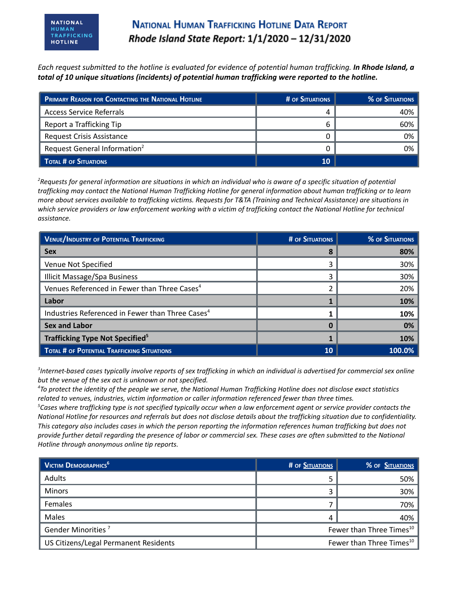# **NATIONAL HUMAN TRAFFICKING HOTLINE DATA REPORT** Rhode Island State Report: 1/1/2020 - 12/31/2020

Each request submitted to the hotline is evaluated for evidence of potential human trafficking. In Rhode Island, a *total of 10 unique situations (incidents) of potential human trafficking were reported to the hotline.*

| PRIMARY REASON FOR CONTACTING THE NATIONAL HOTLINE | # OF SITUATIONS | <b>% OF SITUATIONS</b> |
|----------------------------------------------------|-----------------|------------------------|
| <b>Access Service Referrals</b>                    | Δ               | 40%                    |
| Report a Trafficking Tip                           |                 | 60%                    |
| <b>Request Crisis Assistance</b>                   |                 | 0%                     |
| Request General Information <sup>2</sup>           |                 | 0%                     |
| TOTAL # OF SITUATIONS                              | 10              |                        |

<sup>2</sup>Requests for general information are situations in which an individual who is aware of a specific situation of potential trafficking may contact the National Human Trafficking Hotline for general information about human trafficking or to learn more about services available to trafficking victims. Requests for T&TA (Training and Technical Assistance) are situations in which service providers or law enforcement working with a victim of trafficking contact the National Hotline for technical *assistance.*

| <b>VENUE/INDUSTRY OF POTENTIAL TRAFFICKING</b>               | <b># OF SITUATIONS</b> | <b>% OF SITUATIONS</b> |
|--------------------------------------------------------------|------------------------|------------------------|
| <b>Sex</b>                                                   |                        | 80%                    |
| Venue Not Specified                                          | ੨                      | 30%                    |
| <b>Illicit Massage/Spa Business</b>                          | 3                      | 30%                    |
| Venues Referenced in Fewer than Three Cases <sup>4</sup>     |                        | 20%                    |
| Labor                                                        |                        | 10%                    |
| Industries Referenced in Fewer than Three Cases <sup>4</sup> |                        | 10%                    |
| <b>Sex and Labor</b>                                         |                        | 0%                     |
| Trafficking Type Not Specified <sup>5</sup>                  |                        | 10%                    |
| <b>TOTAL # OF POTENTIAL TRAFFICKING SITUATIONS</b>           | 10                     | 100.0%                 |

 ${}^{3}$ Internet-based cases typically involve reports of sex trafficking in which an individual is advertised for commercial sex online *but the venue of the sex act is unknown or not specified.*

<sup>4</sup>To protect the identity of the people we serve, the National Human Trafficking Hotline does not disclose exact statistics *related to venues, industries, victim information or caller information referenced fewer than three times.*

 ${}^5$ Cases where trafficking type is not specified typically occur when a law enforcement agent or service provider contacts the National Hotline for resources and referrals but does not disclose details about the trafficking situation due to confidentiality. This category also includes cases in which the person reporting the information references human trafficking but does not provide further detail regarding the presence of labor or commercial sex. These cases are often submitted to the National *Hotline through anonymous online tip reports.*

| $\blacksquare$ Victim Demographics <sup>6</sup> | # OF SITUATIONS | % OF SITUATIONS                      |
|-------------------------------------------------|-----------------|--------------------------------------|
| Adults                                          |                 | 50%                                  |
| <b>Minors</b>                                   |                 | 30%                                  |
| Females                                         |                 | 70%                                  |
| Males                                           |                 | 40%                                  |
| Gender Minorities <sup>7</sup>                  |                 | Fewer than Three Times <sup>10</sup> |
| US Citizens/Legal Permanent Residents           |                 | Fewer than Three Times <sup>10</sup> |